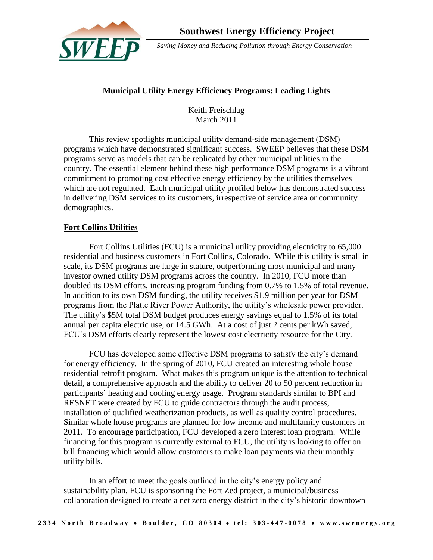

 *Saving Money and Reducing Pollution through Energy Conservation*

# **Municipal Utility Energy Efficiency Programs: Leading Lights**

Keith Freischlag March 2011

This review spotlights municipal utility demand-side management (DSM) programs which have demonstrated significant success. SWEEP believes that these DSM programs serve as models that can be replicated by other municipal utilities in the country. The essential element behind these high performance DSM programs is a vibrant commitment to promoting cost effective energy efficiency by the utilities themselves which are not regulated. Each municipal utility profiled below has demonstrated success in delivering DSM services to its customers, irrespective of service area or community demographics.

## **Fort Collins Utilities**

Fort Collins Utilities (FCU) is a municipal utility providing electricity to 65,000 residential and business customers in Fort Collins, Colorado. While this utility is small in scale, its DSM programs are large in stature, outperforming most municipal and many investor owned utility DSM programs across the country. In 2010, FCU more than doubled its DSM efforts, increasing program funding from 0.7% to 1.5% of total revenue. In addition to its own DSM funding, the utility receives \$1.9 million per year for DSM programs from the Platte River Power Authority, the utility's wholesale power provider. The utility's \$5M total DSM budget produces energy savings equal to 1.5% of its total annual per capita electric use, or 14.5 GWh. At a cost of just 2 cents per kWh saved, FCU's DSM efforts clearly represent the lowest cost electricity resource for the City.

FCU has developed some effective DSM programs to satisfy the city's demand for energy efficiency. In the spring of 2010, FCU created an interesting whole house residential retrofit program. What makes this program unique is the attention to technical detail, a comprehensive approach and the ability to deliver 20 to 50 percent reduction in participants' heating and cooling energy usage. Program standards similar to BPI and RESNET were created by FCU to guide contractors through the audit process, installation of qualified weatherization products, as well as quality control procedures. Similar whole house programs are planned for low income and multifamily customers in 2011. To encourage participation, FCU developed a zero interest loan program. While financing for this program is currently external to FCU, the utility is looking to offer on bill financing which would allow customers to make loan payments via their monthly utility bills.

In an effort to meet the goals outlined in the city's energy policy and sustainability plan, FCU is sponsoring the Fort Zed project, a municipal/business collaboration designed to create a net zero energy district in the city's historic downtown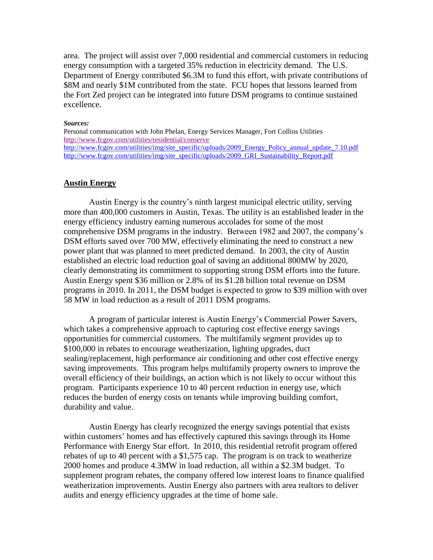area. The project will assist over 7,000 residential and commercial customers in reducing energy consumption with a targeted 35% reduction in electricity demand. The U.S. Department of Energy contributed \$6.3M to fund this effort, with private contributions of \$8M and nearly \$1M contributed from the state. FCU hopes that lessons learned from the Fort Zed project can be integrated into future DSM programs to continue sustained excellence.

### *Sources:*

Personal communication with John Phelan, Energy Services Manager, Fort Collins Utilities <http://www.fcgov.com/utilities/residential/conserve> [http://www.fcgov.com/utilities/img/site\\_specific/uploads/2009\\_Energy\\_Policy\\_annual\\_update\\_7.10.pdf](http://www.fcgov.com/utilities/img/site_specific/uploads/2009_Energy_Policy_annual_update_7.10.pdf) [http://www.fcgov.com/utilities/img/site\\_specific/uploads/2009\\_GRI\\_Sustainability\\_Report.pdf](http://www.fcgov.com/utilities/img/site_specific/uploads/2009_GRI_Sustainability_Report.pdf)

### **Austin Energy**

Austin Energy is the country's ninth largest municipal electric utility, serving more than 400,000 customers in Austin, Texas. The utility is an established leader in the energy efficiency industry earning numerous accolades for some of the most comprehensive DSM programs in the industry. Between 1982 and 2007, the company's DSM efforts saved over 700 MW, effectively eliminating the need to construct a new power plant that was planned to meet predicted demand. In 2003, the city of Austin established an electric load reduction goal of saving an additional 800MW by 2020, clearly demonstrating its commitment to supporting strong DSM efforts into the future. Austin Energy spent \$36 million or 2.8% of its \$1.28 billion total revenue on DSM programs in 2010. In 2011, the DSM budget is expected to grow to \$39 million with over 58 MW in load reduction as a result of 2011 DSM programs.

A program of particular interest is Austin Energy's Commercial Power Savers, which takes a comprehensive approach to capturing cost effective energy savings opportunities for commercial customers. The multifamily segment provides up to \$100,000 in rebates to encourage weatherization, lighting upgrades, duct sealing/replacement, high performance air conditioning and other cost effective energy saving improvements. This program helps multifamily property owners to improve the overall efficiency of their buildings, an action which is not likely to occur without this program. Participants experience 10 to 40 percent reduction in energy use, which reduces the burden of energy costs on tenants while improving building comfort, durability and value.

Austin Energy has clearly recognized the energy savings potential that exists within customers' homes and has effectively captured this savings through its Home Performance with Energy Star effort. In 2010, this residential retrofit program offered rebates of up to 40 percent with a \$1,575 cap. The program is on track to weatherize 2000 homes and produce 4.3MW in load reduction, all within a \$2.3M budget. To supplement program rebates, the company offered low interest loans to finance qualified weatherization improvements. Austin Energy also partners with area realtors to deliver audits and energy efficiency upgrades at the time of home sale.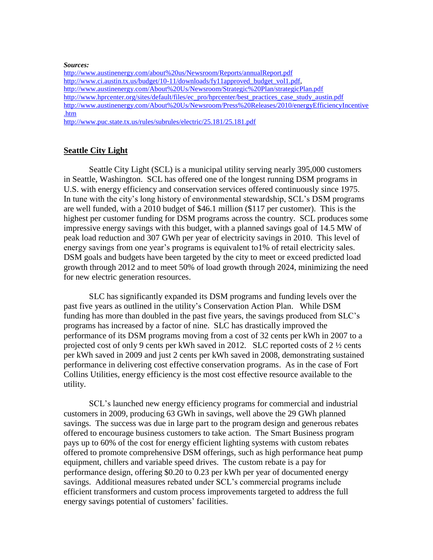#### *Sources:*

<http://www.austinenergy.com/about%20us/Newsroom/Reports/annualReport.pdf> [http://www.ci.austin.tx.us/budget/10-11/downloads/fy11approved\\_budget\\_vol1.pdf,](http://www.ci.austin.tx.us/budget/10-11/downloads/fy11approved_budget_vol1.pdf) <http://www.austinenergy.com/About%20Us/Newsroom/Strategic%20Plan/strategicPlan.pdf> [http://www.hprcenter.org/sites/default/files/ec\\_pro/hprcenter/best\\_practices\\_case\\_study\\_austin.pdf](http://www.hprcenter.org/sites/default/files/ec_pro/hprcenter/best_practices_case_study_austin.pdf) [http://www.austinenergy.com/About%20Us/Newsroom/Press%20Releases/2010/energyEfficiencyIncentive](http://www.austinenergy.com/About%20Us/Newsroom/Press%20Releases/2010/energyEfficiencyIncentive.htm) [.htm](http://www.austinenergy.com/About%20Us/Newsroom/Press%20Releases/2010/energyEfficiencyIncentive.htm)

<http://www.puc.state.tx.us/rules/subrules/electric/25.181/25.181.pdf>

## **Seattle City Light**

Seattle City Light (SCL) is a municipal utility serving nearly 395,000 customers in Seattle, Washington. SCL has offered one of the longest running DSM programs in U.S. with energy efficiency and conservation services offered continuously since 1975. In tune with the city's long history of environmental stewardship, SCL's DSM programs are well funded, with a 2010 budget of \$46.1 million (\$117 per customer). This is the highest per customer funding for DSM programs across the country. SCL produces some impressive energy savings with this budget, with a planned savings goal of 14.5 MW of peak load reduction and 307 GWh per year of electricity savings in 2010. This level of energy savings from one year's programs is equivalent to1% of retail electricity sales. DSM goals and budgets have been targeted by the city to meet or exceed predicted load growth through 2012 and to meet 50% of load growth through 2024, minimizing the need for new electric generation resources.

SLC has significantly expanded its DSM programs and funding levels over the past five years as outlined in the utility's Conservation Action Plan. While DSM funding has more than doubled in the past five years, the savings produced from SLC's programs has increased by a factor of nine. SLC has drastically improved the performance of its DSM programs moving from a cost of 32 cents per kWh in 2007 to a projected cost of only 9 cents per kWh saved in 2012. SLC reported costs of 2 ½ cents per kWh saved in 2009 and just 2 cents per kWh saved in 2008, demonstrating sustained performance in delivering cost effective conservation programs. As in the case of Fort Collins Utilities, energy efficiency is the most cost effective resource available to the utility.

SCL's launched new energy efficiency programs for commercial and industrial customers in 2009, producing 63 GWh in savings, well above the 29 GWh planned savings. The success was due in large part to the program design and generous rebates offered to encourage business customers to take action. The Smart Business program pays up to 60% of the cost for energy efficient lighting systems with custom rebates offered to promote comprehensive DSM offerings, such as high performance heat pump equipment, chillers and variable speed drives. The custom rebate is a pay for performance design, offering \$0.20 to 0.23 per kWh per year of documented energy savings. Additional measures rebated under SCL's commercial programs include efficient transformers and custom process improvements targeted to address the full energy savings potential of customers' facilities.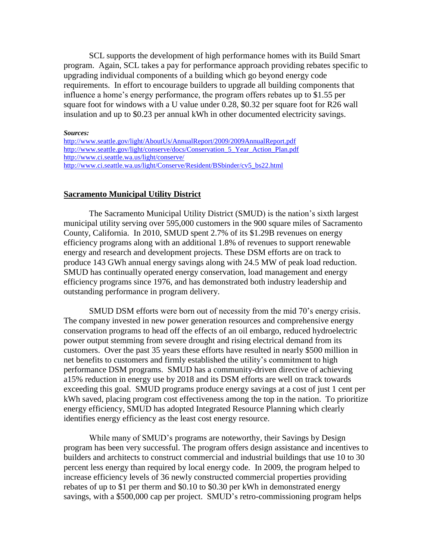SCL supports the development of high performance homes with its Build Smart program. Again, SCL takes a pay for performance approach providing rebates specific to upgrading individual components of a building which go beyond energy code requirements. In effort to encourage builders to upgrade all building components that influence a home's energy performance, the program offers rebates up to \$1.55 per square foot for windows with a U value under 0.28, \$0.32 per square foot for R26 wall insulation and up to \$0.23 per annual kWh in other documented electricity savings.

#### *Sources:*

| http://www.seattle.gov/light/AboutUs/AnnualReport/2009/2009AnnualReport.pdf    |
|--------------------------------------------------------------------------------|
| http://www.seattle.gov/light/conserve/docs/Conservation 5 Year Action Plan.pdf |
| http://www.ci.seattle.wa.us/light/conserve/                                    |
| http://www.ci.seattle.wa.us/light/Conserve/Resident/BSbinder/cv5 bs22.html     |

## **Sacramento Municipal Utility District**

The Sacramento Municipal Utility District (SMUD) is the nation's sixth largest municipal utility serving over 595,000 customers in the 900 square miles of Sacramento County, California. In 2010, SMUD spent 2.7% of its \$1.29B revenues on energy efficiency programs along with an additional 1.8% of revenues to support renewable energy and research and development projects. These DSM efforts are on track to produce 143 GWh annual energy savings along with 24.5 MW of peak load reduction. SMUD has continually operated energy conservation, load management and energy efficiency programs since 1976, and has demonstrated both industry leadership and outstanding performance in program delivery.

SMUD DSM efforts were born out of necessity from the mid 70's energy crisis. The company invested in new power generation resources and comprehensive energy conservation programs to head off the effects of an oil embargo, reduced hydroelectric power output stemming from severe drought and rising electrical demand from its customers. Over the past 35 years these efforts have resulted in nearly \$500 million in net benefits to customers and firmly established the utility's commitment to high performance DSM programs. SMUD has a community-driven directive of achieving a15% reduction in energy use by 2018 and its DSM efforts are well on track towards exceeding this goal. SMUD programs produce energy savings at a cost of just 1 cent per kWh saved, placing program cost effectiveness among the top in the nation. To prioritize energy efficiency, SMUD has adopted Integrated Resource Planning which clearly identifies energy efficiency as the least cost energy resource.

While many of SMUD's programs are noteworthy, their Savings by Design program has been very successful. The program offers design assistance and incentives to builders and architects to construct commercial and industrial buildings that use 10 to 30 percent less energy than required by local energy code. In 2009, the program helped to increase efficiency levels of 36 newly constructed commercial properties providing rebates of up to \$1 per therm and \$0.10 to \$0.30 per kWh in demonstrated energy savings, with a \$500,000 cap per project. SMUD's retro-commissioning program helps